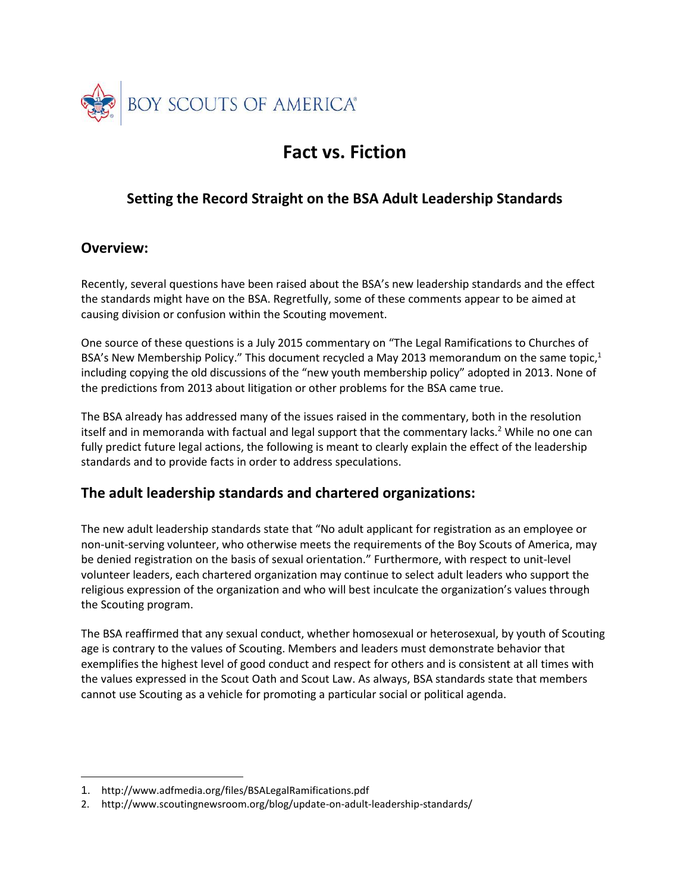

# **Fact vs. Fiction**

# **Setting the Record Straight on the BSA Adult Leadership Standards**

### **Overview:**

 $\overline{a}$ 

Recently, several questions have been raised about the BSA's new leadership standards and the effect the standards might have on the BSA. Regretfully, some of these comments appear to be aimed at causing division or confusion within the Scouting movement.

One source of these questions is a July 2015 commentary on "The Legal Ramifications to Churches of BSA's New Membership Policy." This document recycled a May 2013 memorandum on the same topic, $1$ including copying the old discussions of the "new youth membership policy" adopted in 2013. None of the predictions from 2013 about litigation or other problems for the BSA came true.

The BSA already has addressed many of the issues raised in the commentary, both in the resolution itself and in memoranda with factual and legal support that the commentary lacks.<sup>2</sup> While no one can fully predict future legal actions, the following is meant to clearly explain the effect of the leadership standards and to provide facts in order to address speculations.

# **The adult leadership standards and chartered organizations:**

The new adult leadership standards state that "No adult applicant for registration as an employee or non-unit-serving volunteer, who otherwise meets the requirements of the Boy Scouts of America, may be denied registration on the basis of sexual orientation." Furthermore, with respect to unit-level volunteer leaders, each chartered organization may continue to select adult leaders who support the religious expression of the organization and who will best inculcate the organization's values through the Scouting program.

The BSA reaffirmed that any sexual conduct, whether homosexual or heterosexual, by youth of Scouting age is contrary to the values of Scouting. Members and leaders must demonstrate behavior that exemplifies the highest level of good conduct and respect for others and is consistent at all times with the values expressed in the Scout Oath and Scout Law. As always, BSA standards state that members cannot use Scouting as a vehicle for promoting a particular social or political agenda.

<sup>1.</sup> http://www.adfmedia.org/files/BSALegalRamifications.pdf

<sup>2.</sup> http://www.scoutingnewsroom.org/blog/update-on-adult-leadership-standards/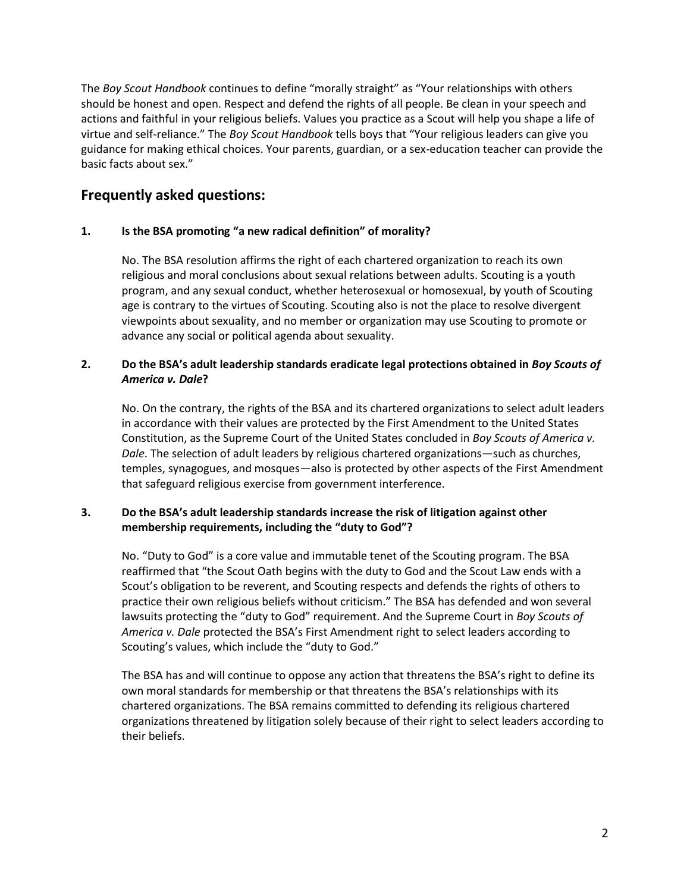The *Boy Scout Handbook* continues to define "morally straight" as "Your relationships with others should be honest and open. Respect and defend the rights of all people. Be clean in your speech and actions and faithful in your religious beliefs. Values you practice as a Scout will help you shape a life of virtue and self-reliance." The *Boy Scout Handbook* tells boys that "Your religious leaders can give you guidance for making ethical choices. Your parents, guardian, or a sex-education teacher can provide the basic facts about sex."

## **Frequently asked questions:**

### **1. Is the BSA promoting "a new radical definition" of morality?**

No. The BSA resolution affirms the right of each chartered organization to reach its own religious and moral conclusions about sexual relations between adults. Scouting is a youth program, and any sexual conduct, whether heterosexual or homosexual, by youth of Scouting age is contrary to the virtues of Scouting. Scouting also is not the place to resolve divergent viewpoints about sexuality, and no member or organization may use Scouting to promote or advance any social or political agenda about sexuality.

### **2. Do the BSA's adult leadership standards eradicate legal protections obtained in** *Boy Scouts of America v. Dale***?**

No. On the contrary, the rights of the BSA and its chartered organizations to select adult leaders in accordance with their values are protected by the First Amendment to the United States Constitution, as the Supreme Court of the United States concluded in *Boy Scouts of America v. Dale*. The selection of adult leaders by religious chartered organizations—such as churches, temples, synagogues, and mosques—also is protected by other aspects of the First Amendment that safeguard religious exercise from government interference.

#### **3. Do the BSA's adult leadership standards increase the risk of litigation against other membership requirements, including the "duty to God"?**

No. "Duty to God" is a core value and immutable tenet of the Scouting program. The BSA reaffirmed that "the Scout Oath begins with the duty to God and the Scout Law ends with a Scout's obligation to be reverent, and Scouting respects and defends the rights of others to practice their own religious beliefs without criticism." The BSA has defended and won several lawsuits protecting the "duty to God" requirement. And the Supreme Court in *Boy Scouts of America v. Dale* protected the BSA's First Amendment right to select leaders according to Scouting's values, which include the "duty to God."

The BSA has and will continue to oppose any action that threatens the BSA's right to define its own moral standards for membership or that threatens the BSA's relationships with its chartered organizations. The BSA remains committed to defending its religious chartered organizations threatened by litigation solely because of their right to select leaders according to their beliefs.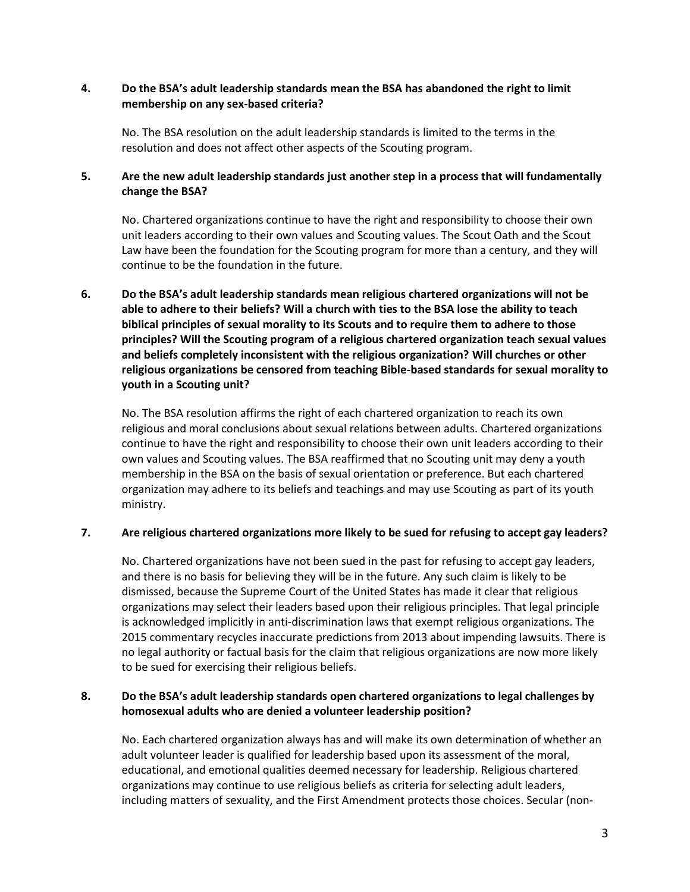### **4. Do the BSA's adult leadership standards mean the BSA has abandoned the right to limit membership on any sex-based criteria?**

No. The BSA resolution on the adult leadership standards is limited to the terms in the resolution and does not affect other aspects of the Scouting program.

#### **5. Are the new adult leadership standards just another step in a process that will fundamentally change the BSA?**

No. Chartered organizations continue to have the right and responsibility to choose their own unit leaders according to their own values and Scouting values. The Scout Oath and the Scout Law have been the foundation for the Scouting program for more than a century, and they will continue to be the foundation in the future.

**6. Do the BSA's adult leadership standards mean religious chartered organizations will not be able to adhere to their beliefs? Will a church with ties to the BSA lose the ability to teach biblical principles of sexual morality to its Scouts and to require them to adhere to those principles? Will the Scouting program of a religious chartered organization teach sexual values and beliefs completely inconsistent with the religious organization? Will churches or other religious organizations be censored from teaching Bible-based standards for sexual morality to youth in a Scouting unit?**

No. The BSA resolution affirms the right of each chartered organization to reach its own religious and moral conclusions about sexual relations between adults. Chartered organizations continue to have the right and responsibility to choose their own unit leaders according to their own values and Scouting values. The BSA reaffirmed that no Scouting unit may deny a youth membership in the BSA on the basis of sexual orientation or preference. But each chartered organization may adhere to its beliefs and teachings and may use Scouting as part of its youth ministry.

#### **7. Are religious chartered organizations more likely to be sued for refusing to accept gay leaders?**

No. Chartered organizations have not been sued in the past for refusing to accept gay leaders, and there is no basis for believing they will be in the future. Any such claim is likely to be dismissed, because the Supreme Court of the United States has made it clear that religious organizations may select their leaders based upon their religious principles. That legal principle is acknowledged implicitly in anti-discrimination laws that exempt religious organizations. The 2015 commentary recycles inaccurate predictions from 2013 about impending lawsuits. There is no legal authority or factual basis for the claim that religious organizations are now more likely to be sued for exercising their religious beliefs.

### **8. Do the BSA's adult leadership standards open chartered organizations to legal challenges by homosexual adults who are denied a volunteer leadership position?**

No. Each chartered organization always has and will make its own determination of whether an adult volunteer leader is qualified for leadership based upon its assessment of the moral, educational, and emotional qualities deemed necessary for leadership. Religious chartered organizations may continue to use religious beliefs as criteria for selecting adult leaders, including matters of sexuality, and the First Amendment protects those choices. Secular (non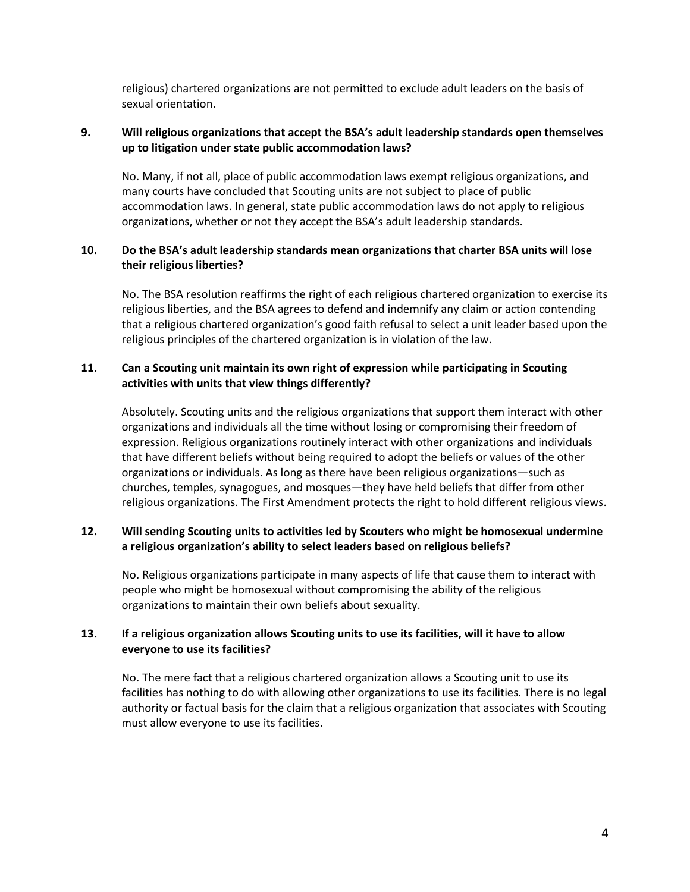religious) chartered organizations are not permitted to exclude adult leaders on the basis of sexual orientation.

#### **9. Will religious organizations that accept the BSA's adult leadership standards open themselves up to litigation under state public accommodation laws?**

No. Many, if not all, place of public accommodation laws exempt religious organizations, and many courts have concluded that Scouting units are not subject to place of public accommodation laws. In general, state public accommodation laws do not apply to religious organizations, whether or not they accept the BSA's adult leadership standards.

#### **10. Do the BSA's adult leadership standards mean organizations that charter BSA units will lose their religious liberties?**

No. The BSA resolution reaffirms the right of each religious chartered organization to exercise its religious liberties, and the BSA agrees to defend and indemnify any claim or action contending that a religious chartered organization's good faith refusal to select a unit leader based upon the religious principles of the chartered organization is in violation of the law.

#### **11. Can a Scouting unit maintain its own right of expression while participating in Scouting activities with units that view things differently?**

Absolutely. Scouting units and the religious organizations that support them interact with other organizations and individuals all the time without losing or compromising their freedom of expression. Religious organizations routinely interact with other organizations and individuals that have different beliefs without being required to adopt the beliefs or values of the other organizations or individuals. As long as there have been religious organizations—such as churches, temples, synagogues, and mosques—they have held beliefs that differ from other religious organizations. The First Amendment protects the right to hold different religious views.

#### **12. Will sending Scouting units to activities led by Scouters who might be homosexual undermine a religious organization's ability to select leaders based on religious beliefs?**

No. Religious organizations participate in many aspects of life that cause them to interact with people who might be homosexual without compromising the ability of the religious organizations to maintain their own beliefs about sexuality.

#### **13. If a religious organization allows Scouting units to use its facilities, will it have to allow everyone to use its facilities?**

No. The mere fact that a religious chartered organization allows a Scouting unit to use its facilities has nothing to do with allowing other organizations to use its facilities. There is no legal authority or factual basis for the claim that a religious organization that associates with Scouting must allow everyone to use its facilities.